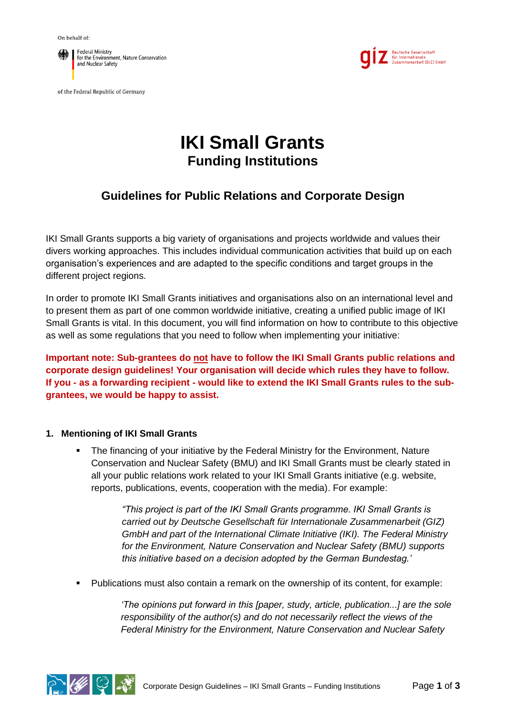

of the Federal Republic of Germany



# **IKI Small Grants Funding Institutions**

# **Guidelines for Public Relations and Corporate Design**

IKI Small Grants supports a big variety of organisations and projects worldwide and values their divers working approaches. This includes individual communication activities that build up on each organisation's experiences and are adapted to the specific conditions and target groups in the different project regions.

In order to promote IKI Small Grants initiatives and organisations also on an international level and to present them as part of one common worldwide initiative, creating a unified public image of IKI Small Grants is vital. In this document, you will find information on how to contribute to this objective as well as some regulations that you need to follow when implementing your initiative:

**Important note: Sub-grantees do not have to follow the IKI Small Grants public relations and corporate design guidelines! Your organisation will decide which rules they have to follow. If you - as a forwarding recipient - would like to extend the IKI Small Grants rules to the subgrantees, we would be happy to assist.**

## **1. Mentioning of IKI Small Grants**

The financing of your initiative by the Federal Ministry for the Environment, Nature Conservation and Nuclear Safety (BMU) and IKI Small Grants must be clearly stated in all your public relations work related to your IKI Small Grants initiative (e.g. website, reports, publications, events, cooperation with the media). For example:

> *"This project is part of the IKI Small Grants programme. IKI Small Grants is carried out by Deutsche Gesellschaft für Internationale Zusammenarbeit (GIZ) GmbH and part of the International Climate Initiative (IKI). The Federal Ministry for the Environment, Nature Conservation and Nuclear Safety (BMU) supports this initiative based on a decision adopted by the German Bundestag.'*

▪ Publications must also contain a remark on the ownership of its content, for example:

*'The opinions put forward in this [paper, study, article, publication...] are the sole responsibility of the author(s) and do not necessarily reflect the views of the Federal Ministry for the Environment, Nature Conservation and Nuclear Safety* 

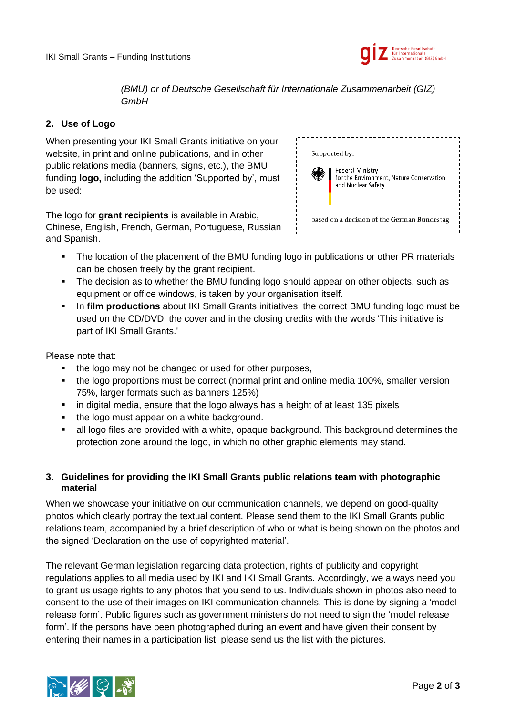

*(BMU) or of Deutsche Gesellschaft für Internationale Zusammenarbeit (GIZ) GmbH*

# **2. Use of Logo**

When presenting your IKI Small Grants initiative on your website, in print and online publications, and in other public relations media (banners, signs, etc.), the BMU funding **logo,** including the addition 'Supported by', must be used:

The logo for **grant recipients** is available in Arabic, Chinese, English, French, German, Portuguese, Russian and Spanish.

| Supported by:                                                                      |  |
|------------------------------------------------------------------------------------|--|
| Federal Ministry<br>for the Environment, Nature Conservation<br>and Nuclear Safety |  |
| based on a decision of the German Bundestag                                        |  |

- **•** The location of the placement of the BMU funding logo in publications or other PR materials can be chosen freely by the grant recipient.
- The decision as to whether the BMU funding logo should appear on other objects, such as equipment or office windows, is taken by your organisation itself.
- In **film productions** about IKI Small Grants initiatives, the correct BMU funding logo must be used on the CD/DVD, the cover and in the closing credits with the words 'This initiative is part of IKI Small Grants.'

Please note that:

- the logo may not be changed or used for other purposes,
- the logo proportions must be correct (normal print and online media 100%, smaller version 75%, larger formats such as banners 125%)
- in digital media, ensure that the logo always has a height of at least 135 pixels
- the logo must appear on a white background.
- **E** all logo files are provided with a white, opaque background. This background determines the protection zone around the logo, in which no other graphic elements may stand.

# **3. Guidelines for providing the IKI Small Grants public relations team with photographic material**

When we showcase your initiative on our communication channels, we depend on good-quality photos which clearly portray the textual content. Please send them to the IKI Small Grants public relations team, accompanied by a brief description of who or what is being shown on the photos and the signed 'Declaration on the use of copyrighted material'.

The relevant German legislation regarding data protection, rights of publicity and copyright regulations applies to all media used by IKI and IKI Small Grants. Accordingly, we always need you to grant us usage rights to any photos that you send to us. Individuals shown in photos also need to consent to the use of their images on IKI communication channels. This is done by signing a 'model release form'. Public figures such as government ministers do not need to sign the 'model release form'. If the persons have been photographed during an event and have given their consent by entering their names in a participation list, please send us the list with the pictures.